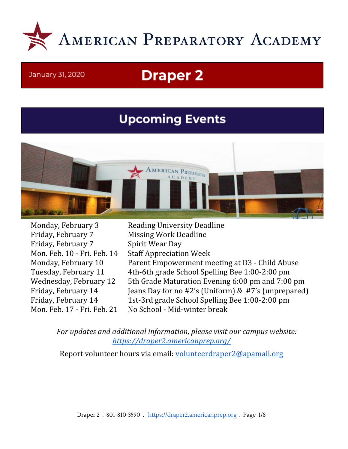

#### January 31, 2020

# **Draper 2**

# **Upcoming Events**



Friday, February 7 Missing Work Deadline Friday, February 7 Spirit Wear Day Mon. Feb. 10 - Fri. Feb. 14 Staff Appreciation Week

Monday, February 3 Reading University Deadline Monday, February 10 Parent Empowerment meeting at D3 - Child Abuse Tuesday, February 11 4th-6th grade School Spelling Bee 1:00-2:00 pm Wednesday, February 12 5th Grade Maturation Evening 6:00 pm and 7:00 pm Friday, February 14 Jeans Day for no #2's (Uniform) & #7's (unprepared) Friday, February 14 1st-3rd grade School Spelling Bee 1:00-2:00 pm Mon. Feb. 17 - Fri. Feb. 21 No School - Mid-winter break

*For updates and additional information, please visit our campus website: <https://draper2.americanprep.org/>*

Report volunteer hours via email: [volunteerdraper2@apamail.org](mailto:volunteerdraper2@apamail.org)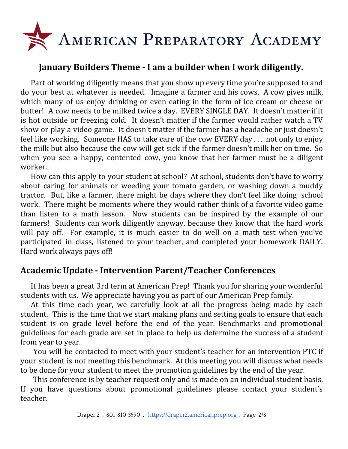

## **January Builders Theme - I am a builder when I work diligently.**

Part of working diligently means that you show up every time you're supposed to and do your best at whatever is needed. Imagine a farmer and his cows. A cow gives milk, which many of us enjoy drinking or even eating in the form of ice cream or cheese or butter! A cow needs to be milked twice a day. EVERY SINGLE DAY. It doesn't matter if it is hot outside or freezing cold. It doesn't matter if the farmer would rather watch a TV show or play a video game. It doesn't matter if the farmer has a headache or just doesn't feel like working. Someone HAS to take care of the cow EVERY day . . . not only to enjoy the milk but also because the cow will get sick if the farmer doesn't milk her on time. So when you see a happy, contented cow, you know that her farmer must be a diligent worker.

How can this apply to your student at school? At school, students don't have to worry about caring for animals or weeding your tomato garden, or washing down a muddy tractor. But, like a farmer, there might be days where they don't feel like doing school work. There might be moments where they would rather think of a favorite video game than listen to a math lesson. Now students can be inspired by the example of our farmers! Students can work diligently anyway, because they know that the hard work will pay off. For example, it is much easier to do well on a math test when you've participated in class, listened to your teacher, and completed your homework DAILY. Hard work always pays off!

## **Academic Update - Intervention Parent/Teacher Conferences**

It has been a great 3rd term at American Prep! Thank you for sharing your wonderful students with us. We appreciate having you as part of our American Prep family.

At this time each year, we carefully look at all the progress being made by each student. This is the time that we start making plans and setting goals to ensure that each student is on grade level before the end of the year. Benchmarks and promotional guidelines for each grade are set in place to help us determine the success of a student from year to year.

You will be contacted to meet with your student's teacher for an intervention PTC if your student is not meeting this benchmark. At this meeting you will discuss what needs to be done for your student to meet the promotion guidelines by the end of the year.

This conference is by teacher request only and is made on an individual student basis. If you have questions about promotional guidelines please contact your student's teacher.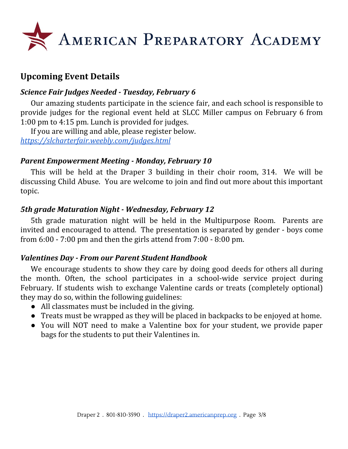

# **Upcoming Event Details**

### *Science Fair Judges Needed - Tuesday, February 6*

Our amazing students participate in the science fair, and each school is responsible to provide judges for the regional event held at SLCC Miller campus on February 6 from 1:00 pm to 4:15 pm. Lunch is provided for judges.

If you are willing and able, please register below. *<https://slcharterfair.weebly.com/judges.html>*

## *Parent Empowerment Meeting - Monday, February 10*

This will be held at the Draper 3 building in their choir room, 314. We will be discussing Child Abuse. You are welcome to join and find out more about this important topic.

#### *5th grade Maturation Night - Wednesday, February 12*

5th grade maturation night will be held in the Multipurpose Room. Parents are invited and encouraged to attend. The presentation is separated by gender - boys come from 6:00 - 7:00 pm and then the girls attend from 7:00 - 8:00 pm.

## *Valentines Day - From our Parent Student Handbook*

We encourage students to show they care by doing good deeds for others all during the month. Often, the school participates in a school-wide service project during February. If students wish to exchange Valentine cards or treats (completely optional) they may do so, within the following guidelines:

- All classmates must be included in the giving.
- Treats must be wrapped as they will be placed in backpacks to be enjoyed at home.
- You will NOT need to make a Valentine box for your student, we provide paper bags for the students to put their Valentines in.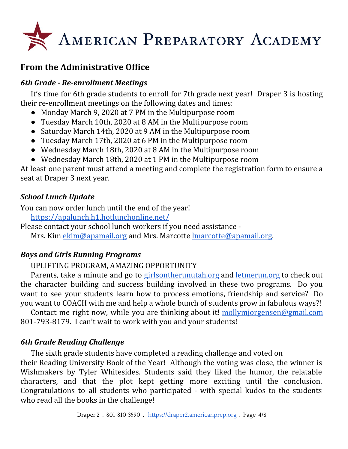

# **From the Administrative Office**

## *6th Grade - Re-enrollment Meetings*

It's time for 6th grade students to enroll for 7th grade next year! Draper 3 is hosting their re-enrollment meetings on the following dates and times:

- Monday March 9, 2020 at 7 PM in the Multipurpose room
- Tuesday March 10th, 2020 at 8 AM in the Multipurpose room
- Saturday March 14th, 2020 at 9 AM in the Multipurpose room
- Tuesday March 17th, 2020 at 6 PM in the Multipurpose room
- Wednesday March 18th, 2020 at 8 AM in the Multipurpose room
- Wednesday March 18th, 2020 at 1 PM in the Multipurpose room

At least one parent must attend a meeting and complete the registration form to ensure a seat at Draper 3 next year.

## *School Lunch Update*

You can now order lunch until the end of the year!

<https://apalunch.h1.hotlunchonline.net/>

Please contact your school lunch workers if you need assistance -

Mrs. Kim [ekim@apamail.org](mailto:ekim@apamail.org) and Mrs. Marcotte Imarcotte@apamail.org.

## *Boys and Girls Running Programs*

UPLIFTING PROGRAM, AMAZING OPPORTUNITY

Parents, take a minute and go to [girlsontherunutah.org](http://girlsontherunutah.org/) and [letmerun.org](http://letmerun.org/) to check out the character building and success building involved in these two programs. Do you want to see your students learn how to process emotions, friendship and service? Do you want to COACH with me and help a whole bunch of students grow in fabulous ways?!

Contact me right now, while you are thinking about it! [mollymjorgensen@gmail.com](mailto:mollymjorgensen@gmail.com) 801-793-8179. I can't wait to work with you and your students!

# *6th Grade Reading Challenge*

The sixth grade students have completed a reading challenge and voted on their Reading University Book of the Year! Although the voting was close, the winner is Wishmakers by Tyler Whitesides. Students said they liked the humor, the relatable characters, and that the plot kept getting more exciting until the conclusion. Congratulations to all students who participated - with special kudos to the students who read all the books in the challenge!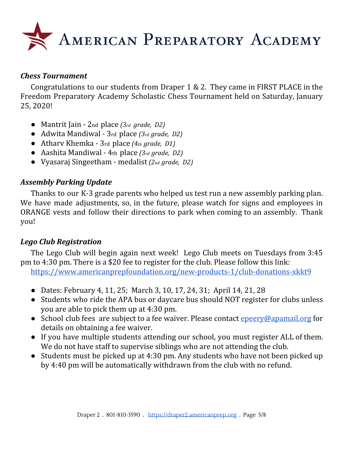

#### *Chess Tournament*

Congratulations to our students from Draper 1 & 2. They came in FIRST PLACE in the Freedom Preparatory Academy Scholastic Chess Tournament held on Saturday, January 25, 2020!

- Mantrit Jain 2nd place *(3rd grade, D2)*
- Adwita Mandiwal 3rd place *(3rd grade, D2)*
- Atharv Khemka 3rd place *(4th grade, D1)*
- Aashita Mandiwal 4th place *(3rd grade, D2)*
- Vyasaraj Singeetham medalist *(2nd grade, D2)*

#### *Assembly Parking Update*

Thanks to our K-3 grade parents who helped us test run a new assembly parking plan. We have made adjustments, so, in the future, please watch for signs and employees in ORANGE vests and follow their directions to park when coming to an assembly. Thank you!

#### *Lego Club Registration*

The Lego Club will begin again next week! Lego Club meets on Tuesdays from 3:45 pm to 4:30 pm. There is a \$20 fee to register for the club. Please follow this link:

<https://www.americanprepfoundation.org/new-products-1/club-donations-xkkt9>

- Dates: February 4, 11, 25; March 3, 10, 17, 24, 31; April 14, 21, 28
- Students who ride the APA bus or daycare bus should NOT register for clubs unless you are able to pick them up at 4:30 pm.
- School club fees are subject to a fee waiver. Please contact [epeery@apamail.org](mailto:epeery@apamail.org) for details on obtaining a fee waiver.
- If you have multiple students attending our school, you must register ALL of them. We do not have staff to supervise siblings who are not attending the club.
- Students must be picked up at 4:30 pm. Any students who have not been picked up by 4:40 pm will be automatically withdrawn from the club with no refund.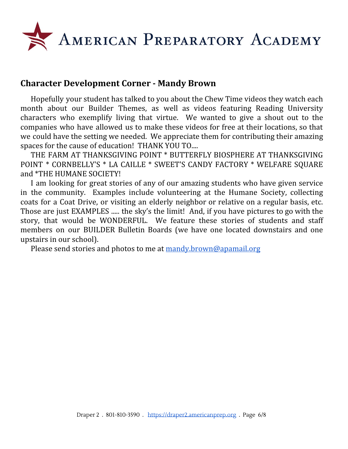

## **Character Development Corner - Mandy Brown**

Hopefully your student has talked to you about the Chew Time videos they watch each month about our Builder Themes, as well as videos featuring Reading University characters who exemplify living that virtue. We wanted to give a shout out to the companies who have allowed us to make these videos for free at their locations, so that we could have the setting we needed. We appreciate them for contributing their amazing spaces for the cause of education! THANK YOU TO....

THE FARM AT THANKSGIVING POINT \* BUTTERFLY BIOSPHERE AT THANKSGIVING POINT \* CORNBELLY'S \* LA CAILLE \* SWEET'S CANDY FACTORY \* WELFARE SQUARE and \*THE HUMANE SOCIETY!

I am looking for great stories of any of our amazing students who have given service in the community. Examples include volunteering at the Humane Society, collecting coats for a Coat Drive, or visiting an elderly neighbor or relative on a regular basis, etc. Those are just EXAMPLES ..... the sky's the limit! And, if you have pictures to go with the story, that would be WONDERFUL. We feature these stories of students and staff members on our BUILDER Bulletin Boards (we have one located downstairs and one upstairs in our school).

Please send stories and photos to me at [mandy.brown@apamail.org](mailto:mandy.brown@apamail.org)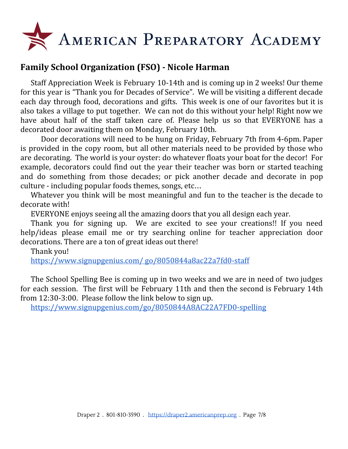

# **Family School Organization (FSO) - Nicole Harman**

Staff Appreciation Week is February 10-14th and is coming up in 2 weeks! Our theme for this year is "Thank you for Decades of Service". We will be visiting a different decade each day through food, decorations and gifts. This week is one of our favorites but it is also takes a village to put together. We can not do this without your help! Right now we have about half of the staff taken care of. Please help us so that EVERYONE has a decorated door awaiting them on Monday, February 10th.

Door decorations will need to be hung on Friday, February 7th from 4-6pm. Paper is provided in the copy room, but all other materials need to be provided by those who are decorating. The world is your oyster: do whatever floats your boat for the decor! For example, decorators could find out the year their teacher was born or started teaching and do something from those decades; or pick another decade and decorate in pop culture - including popular foods themes, songs, etc…

Whatever you think will be most meaningful and fun to the teacher is the decade to decorate with!

EVERYONE enjoys seeing all the amazing doors that you all design each year.

Thank you for signing up. We are excited to see your creations!! If you need help/ideas please email me or try searching online for teacher appreciation door decorations. There are a ton of great ideas out there!

Thank you!

[https://www.signupgenius.com/](https://www.signupgenius.com/go/8050844a8ac22a7fd0-staff) go/8050844a8ac22a7fd0-staff

The School Spelling Bee is coming up in two weeks and we are in need of two judges for each session. The first will be February 11th and then the second is February 14th from 12:30-3:00. Please follow the link below to sign up.

<https://www.signupgenius.com/go/8050844A8AC22A7FD0-spelling>